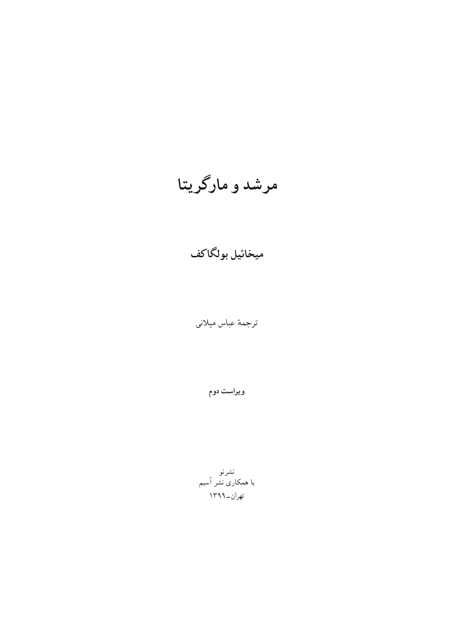ویراست دوم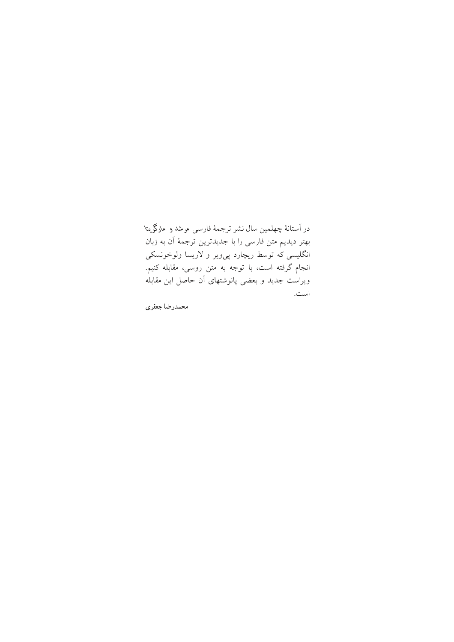در آستانهٔ چهلمین سال نشر ترجمهٔ فارسی مرشد و مارگریتا بهتر ديديم متن فارسي را با جديدترين ترجمهٔ آن به زبان انگلیسی که توسط ریچارد یی ویر و لاریسا ولوخونسکی انجام گرفته است، با توجه به متن روسی، مقابله کنیم. ویراست جدید و بعضی یانوشتهای آن حاصل این مقابله است.

محمدرضا جعفري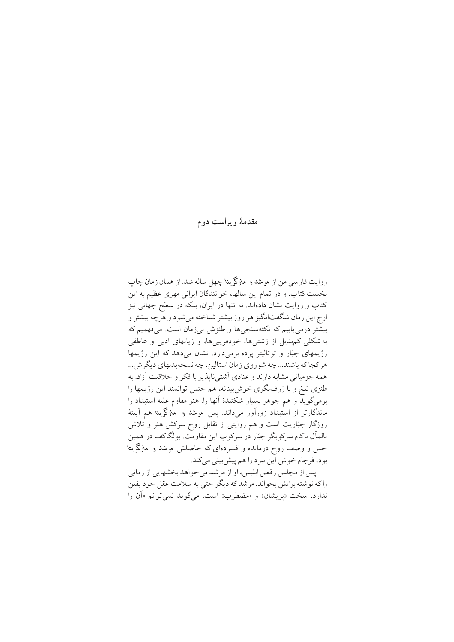مقدمهٔ و پراست دوم

روايت فارسي من از م شد و مارگريتا چهل ساله شد. از همان زمان چاپ نخست کتاب، و در تمام این سالها، خوانندگان ایرانی مهری عظیم به این کتاب و روایت نشان دادهاند. نه تنها در ایران، بلکه در سطح جهانی نیز ارج این رمان شگفتانگیز هر روز بیشتر شناخته می شود و هرچه بیشتر و بیشّتر درمی یابیم که نکتهسنجیها و طنزش بیزمان است. میفهمیم که به شکلی کمهدیل از زشتیها، خودفریبیها، و زیانهای ادبی و عاطفی رژیمهای جبّار و توتالیتر پرده برمیدارد. نشان میدهد که این رژیمها هر کجا که باشند... چه شو روي زمان استالين، چه نسخهبدلهاي ديگر ش... همه جزمیاتی مشابه دارند و عنادی آشتی ناپذیر با فکر و خلاقیت آزاد. به طنزي تلخ و با ژرفنگري خوش بينانه، هم جنس توانمند اين رژيمها را برمي گويد و هم جوهر بسيار شكنندهٔ آنها را. هنر مقاوم عليه استبداد را ماندگارتر از استبداد زورآور می داند. پس موشد و ً مارگریتا هم آیینهٔ روزگار جبّاریت است و هم روایتی از تقابل روح سرکش هنر و تلاش بالمال ناکام سرکو بگر جبّار در سرکوب این مقاومت. بولگاکف در همین حس و وصف روح درمانده و افسردهای که حاصلش موشد و مارگریتا بود، فرجام خوش اين نبرد را هم پيش بيني مي كند.

یس از مجلس رقص ابلیس، او از مرشد می خو اهد بخشهایی از رمانی راكه نوشته برايش بخواند. مرشد كه ديگر حتى به سلامت عقل خود يقين ندارد، سخت «پريشان» و «مضطرب» است، ميگويد نمي توانم «اَن را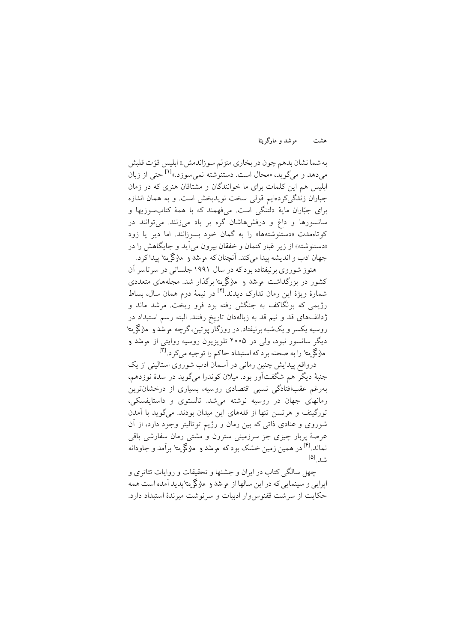مرشد و مارگریتا هشت

به شما نشان بدهم چون در بخاري منزلم سوزاندمش.» ابليس قوّ ت قلبش میدهد و میگوید، «محال است. دستنوشته نمی سوزد.»<sup>[۱]</sup> حتی از زبان ابلیس هم این کلمات برای ما خوانندگان و مشتاقان هنری که در زمان جباران زندگی کردهایم قولی سخت نویدبخش است. و به همان اندازه برای جبّاران مایهٔ دلتنگی است. میفهمند که با همهٔ کتابسوزیها و سانسورها و داغ و درفش هاشان گره بر باد میزنند. می توانند در کوتاهمدت «دستنوشتهها» را به گمان خود بسوزانند. اما دیر یا زود «دستنوشته» از زیر غبار کتمان و خفقان بیرون می آید و جایگاهش را در جهان ادب و اندیشه پیدا می کند. آنچنان که م مثد و مارگم بتا پیدا کرد.

هنوز شوروی برنیفتاده بودکه در سال ۱۹۹۱ جلساتی در سر تاسر آن کشور در بزرگداشت موشد و ملاگی متا برگذار شد. مجلههای متعددی شمارهٔ ویژهٔ این رمان تدارک دیدند.<sup>[۲]</sup> در نیمهٔ دوم همان سال، بساط رژیمی که بولگاکف به جنگش رفته بود فرو ریخت. مرشد ماند و ژدانف%ای قد و نیم قد به زبالهدان تاریخ رفتند. البته رسم استبداد در روسیه یکسر و یکشبه برنیفتاد. در روزگار یوتین،گرچه مرشد و مارگریتا دیگر سانسور نبود، ولی در ۲۰۰۵ تلویزیون روسیه روایتی از مرشد و ماركم متا را به صحنه برد كه استبداد حاكم را توجيه مى كرد. [۳]

درواقع پیدایش چنین رمانی در آسمان ادب شوروی استالینی از یک جنبهٔ دیگر هم شگفتآور بود. میلان کوندرا میگوید در سدهٔ نوزدهم، بەرغم عقبافتادگی نسبی اقتصادی روسیه، بسیاری از درخشانترین رمانهای جهان در روسیه نوشته می شد. تالستوی و داستایفسکی، تورگینف و هرتسن تنها از قلههای این میدان بودند. می گوید با آمدن شوروی و عنادی ذاتی که بین رمان و رژیم توتالیتر وجود دارد، از آن عرصهٔ پربار چیزی جز سرزمینی سترون و مشتی رمان سفارشی باقی نماند.<sup>[۴]</sup> در همین زمین خشک بودکه مرشد و مارگریتا برآم*د و جاو*دانه  $[\Delta]$ <sub>1.2</sub>

چهل سالگی کتاب در ایران و جشنها و تحقیقات و روایات تئاتری و ايرايي و سينمايي كه در اين سالها از مرشد و مارگريتايديد آمده است همه حکایت از سرشت ققنوس وار ادبیات و سرنوشت میرندهٔ استبداد دارد.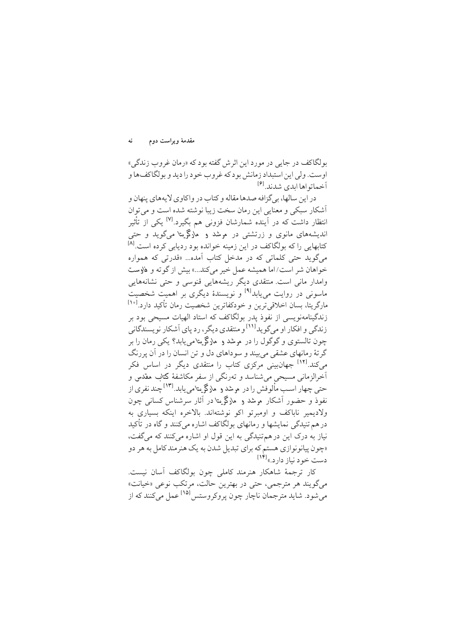بولگاکف در جایی در مورد این اثر ش گفته بود که «رمان غروب زندگی» اوست. ولي اين استبداد زمانش بودكه غروب خود را ديد و بولگاكف ها و آخيماتواها ايدي شدند.<sup>[۶]</sup>

در اين سالها، بي گزافه صدها مقاله و كتاب در واكاوي لايههاي پنهان و آشکار سبکی و معنایی این رمان سخت زیبا نوشته شده است و می توان انتظار داشت که در آینده شمارشان فزونی هم بگیرد.<sup>[۷]</sup> یکی از تأثیر اندیشههای مانوی و زرتشتی در مرشد و مارگریتا میگوید و حتی کتابهایی را که بولگاکف در این زمینه خوانده بود ردیابی کرده است.<sup>[۸]</sup> مي گويد حتى كلماتي كه در مدخل كتاب آمده... «قدرتي كه همواره خواهان شر است/اما همیشه عمل خیر میکند...» بیش از گوته و فاوست وامدار مانی است. منتقدی دیگر ریشههایی قنوسی و حتی نشانههایی ماسونی در روایت می پابد<sup>[۹]</sup> و نویسندهٔ دیگری بر اهمیت شخصیت مارگریتا، بسان اخلاقیترین و خودکفاترین شخصیت رمان تأکید دارد.<sup>[۱۰]</sup> زندگینامهنویسی از نفوذ یدر بولگاکف که استاد الهیات مسیحی بود بر زندگی و افکار او می گو ید<sup>[۱۱]</sup> و منتقدی دیگر ، رد پای آشکار نو پسندگانی چون تالستوی و گوگول را در م شد و مارگریتامی پابد؟ یکی رمان را بر گر تهٔ رمانهای عشقی می بیند و سوداهای دل و تن انسان را در آن پررنگ می کند.<sup>[۱۲]</sup> جهان.ینی مرکزی کتاب را منتقدی دیگر در اساس فکر اَخرالزمانی مسیحی میشناسد و تەرنگی از سفر مکاشفهٔ کتاب مقدس و حتی چهار اسـب مألوفش را در مرشد و مارگریتامی یابد.<sup>[۱۳]</sup>چند نفری از نفوذ و حضور آشکار موشد و مارگریتا در آثار سرشناس کسانی چون ولاديمير ناپاكف و اوميرتو اكو نوشتهاند. بالاخره اينكه بسياري به درهم تنیدگی نمایشها و رمانهای بولگاکف اشاره میکنند و گاه در تأکید نیاز به درک این در هم تنیدگی به این قول او اشاره میکنند که میگفت، «چون پیانونوازی هستم که برای تبدیل شدن به یک هنرمند کامل به هر دو دست خو د نیاز دار د.»<sup>[۱۴]</sup>

کار ترجمهٔ شاهکار هنرمند کاملی چون بولگاکف آسان نیست. مي گويند هر مترجمي، حتى در بهترين حالت، مرتكب نوعي «خيانت» میشود. شاید مترجمان ناچار چون یروکروستس<sup>101]</sup> عمل می کنند که از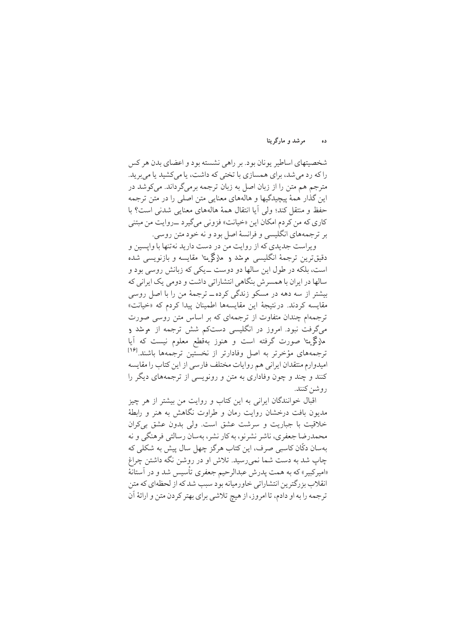#### مرشد و مارگریتا ده

شخصیتهای اساطیر پونان بود. بر راهی نشسته بود و اعضای بدن هر کس را که رد می شد، برای همسازی با تختی که داشت، یا میکشید یا می برید. مترجم هم متن را از زبان اصل به زبان ترجمه برمیگرداند. میکوشد در این گذار همهٔ پیچیدگیها و هالههای معنایی متن اصلی را در متن ترجمه حفظ و منتقل كند؛ ولي آيا انتقال همهٔ هالههاي معنايي شدني است؟ با کاري که من کردم امکان اين «خيانت» فزوني مي گيرد \_روايت من مبتني بر ترجمههای انگلیسی و فرانسهٔ اصل بود و نه خود متن روسی.

ویراست جدیدی که از روایت من در دست دارید نهتنها با وایسین و دقیق ترین ترجمهٔ انگلیسی مرشد و مارگریتا مقایسه و بازنویسی شده است، بلکه در طول این سالها دو دوست ــ یکی که زبانش روسی بود و سالها در ایران با همسر ش بنگاهی انتشاراتی داشت و دومی یک ایرانی که بیشتر از سه دهه در مسکو زندگی کرده ــ ترجمهٔ من را با اصل روسی مقايسه كردند. درنتيجة اين مقايسهها اطمينان ييدا كردم كه «خيانت» ترجمهام چندان متفاوت از ترجمهای که بر اساس متن روسی صورت م<sub>ی ب</sub>گرفت نبود. امروز در انگلیسی دستکم شش ترجمه از مرشد و مارگریتا صورت گرفته است و هنوز بهقطع معلوم نیست که آیا ترجمههای مؤخرتر به اصل وفادارتر از نخستین ترجمهها باشند.<sup>[۱۶</sup>] اميدوارم منتقدان ايراني هم روايات مختلف فارسي از اين كتاب را مقايسه کنند و چند و چون وفاداری به متن و رونویسی از ترجمههای دیگر را روشن كنند.

اقبال خوانندگان ایرانی به این کتاب و روایت من بیشتر از هر چیز مدیون بافت درخشان روایت رمان و طراوت نگاهش به هنر و رابطهٔ خلاقیت با جباریت و سرشت عشق است. ولی بدون عشق بی کران محمدرضا جعفري، ناشر نشرنو، به كار نشر، بهسان رسالتي فرهنگي و نه بهسان دکّان کاسبی صرف، این کتاب هرگز چهل سال پیش به شکلی که چاپ شد به دست شما نمی رسید. تلاش او در روشن نگه داشتن چراغ «امیرکبیر» که به همت پدرش عبدالرحیم جعفری تأسیس شد و در آستانهٔ انقلاب بزرگترین انتشاراتی خاورمیانه بود سبب شد که از لحظهای که متن ترجمه را به او دادم، تا امروز، از هيچ تلاشي براي بهتر كردن متن و ارائهٔ آن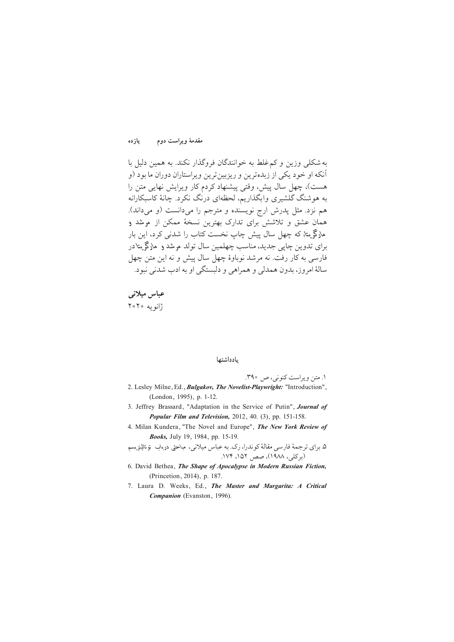مقدمهٔ ویراست دوم یازده

به شکلی وزین و کم غلط به خوانندگان فروگذار نکند. به همین دلیل با آنکه او خود یکی از زبدهترین و ریزبینترین ویراستاران دوران ما بود (و هست)، چهل سال پیش، وقتی پیشنهاد کردم کار ویرایش نهایی متن را به هوشنگ گلشیری وابگذاریم، لحظهای درنگ نکرد. چانهٔ کاسبکارانه هم نزد. مثل يدرش ارج نويسنده و مترجم را مي دانست (و مي داند). همان عشق و تلاشش برای تدارک بهترین نسخهٔ ممکن از پر شد و هارگریتا، که چهل سال پیش چاپ نخست کتاب را شدنی کرد، این بار برای تدوین چاپ<sub>ی</sub> جدید، مناسب چهلمین سال تولد موشد و مارگم یتادر فارسی به کار رفت. نه مرشد نوباوهٔ چهل سال پیش و نه این متن چهل سالهٔ امروز، بدون همدلی و همراهی و دلیستگی او به ادب شدنی نبود.

عباس میلان*ی*  $Y \circ Y \circ \psi$ 

### بادداشتها

/1 »T− °½SwAo Ÿ®±»¯, | å/39

- 2. Lesley Milne, Ed., Bulgakov, The Novelist-Playwright: "Introduction", (London, 1995), p. 1-12.
- 3. Jeffrey Brassard, "Adaptation in the Service of Putin", Journal of Popular Film and Television, 2012, 40. (3), pp. 151-158.
- 4. Milan Kundera, "The Novel and Europe", The New York Review of Books, July 19, 1984, pp. 15-19.

۵. برای ترجمهٔ فارسی مقالهٔ کو ندرا، رک. به عباس میلانی، مباحثی درباب توتالیتریسم (بر کلی، ۱۹۸۸)، صص, ۱۵۲، ۱۷۴.

- 6. David Bethea, The Shape of Apocalypse in Modern Russian Fiction, (Princetion, 2014), p. 187.
- 7. Laura D. Weeks, Ed., The Master and Margarita: A Critical Companion (Evanston, 1996).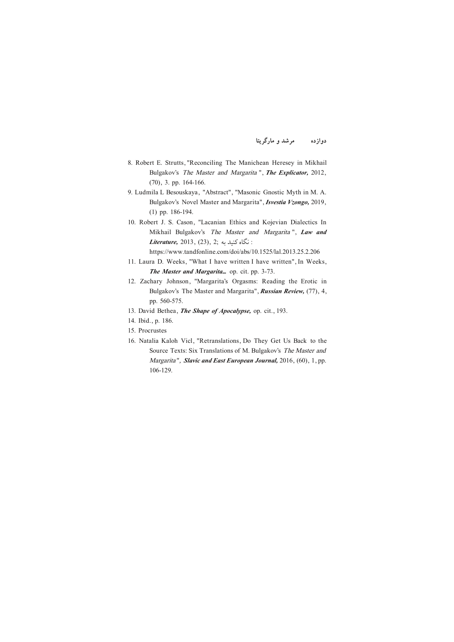- 8. Robert E. Strutts, "Reconciling The Manichean Heresey in Mikhail Bulgakov's The Master and Margarita ", The Explicator, 2012,  $(70), 3, pp. 164-166.$
- 9. Ludmila L Besouskaya, "Abstract", "Masonic Gnostic Myth in M. A. Bulgakov's Novel Master and Margarita", *Isvestia Vzongo*, 2019,  $(1)$  pp. 186-194.
- 10. Robert J. S. Cason, "Lacanian Ethics and Kojevian Dialectics In Mikhail Bulgakov's The Master and Margarita", Law and  $Literature$ , 2013, (23), 2; نگاه کنىد به:

 $https://www.tandfonline.com/doi/abs/10.1525/la1.2013.25.2.206$ 

- 11. Laura D. Weeks. "What I have written I have written". In Weeks. The Master and Margarita... op. cit. pp. 3-73.
- 12. Zachary Johnson, "Margarita's Orgasms: Reading the Erotic in Bulgakov's The Master and Margarita", Russian Review, (77), 4, pp. 560-575.
- 13. David Bethea, *The Shape of Apocalypse*, op. cit., 193.
- 14. Ibid., p. 186.
- Procrustes 15.
- 16. Natalia Kaloh Vicl, "Retranslations, Do They Get Us Back to the Source Texts: Six Translations of M. Bulgakov's The Master and Margarita", Slavic and East European Journal,  $2016$ ,  $(60)$ ,  $1$ , pp. 106-129.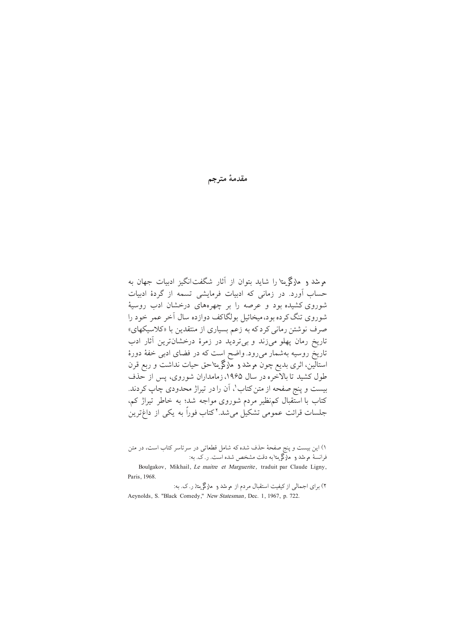مقدمهٔ مترجم

م شد و مارگی تا را شاید بتوان از آثار شگفت[نگیز ادبیات جهان به حساب آورد. در زمانی که ادبیات فرمایشی تسمه از گردهٔ ادبیات شوروی کشیده بود و عرصه را بر چهرههای درخشان ادب روستهٔ شوروی تنگ کرده بود،میخائیل بولگاکف دوازده سال آخر عمر خود را صرف نوشتن رمانی کردکه به زعم بسیاری از منتقدین با «کلاسیکهای» تاریخ رمان پهلو میزند و بیتردید در زمرهٔ درخشانترین آثار ادب تاریخ روسیه بهشمار میرود. واضح است که در فضای ادبی خفهٔ دورهٔ استالین، اثری بدیع چون موشد و مارگریتاحق حیات نداشت و ربع قرن طول کشید تا بالاخره در سال ۱۹۶۵، زمامداران شوروی، پس از حذف بیست و پنج صفحه از متن کتاب'، اَن را در تیراژ محدودی چاپ کردند. کتاب با استقبال کم نظیر مردم شوروی مواجه شد؛ به خاطر تیراژ کم، جلسات قرائت عمومی تشکیل می شد. ۲ کتاب فوراً به یکی از داغترین

۱) این بیست و پنج صفحهٔ حذف شده که شامل قطعاتی در سرتاسر کتاب است، در متن فرانسهٔ مرشد و مارگریتا به دقت مشخص شده است. ر.ک. به:

Boulgakov, Mikhail, Le maitre et Marguerite, traduit par Claude Ligny, Paris, 1968.

۲) برای اجمالی از کیفیت استقبال مردم از موشد و مارگریته ر.ک. به: Aeynolds, S. "Black Comedy," New Statesman, Dec. 1, 1967, p. 722.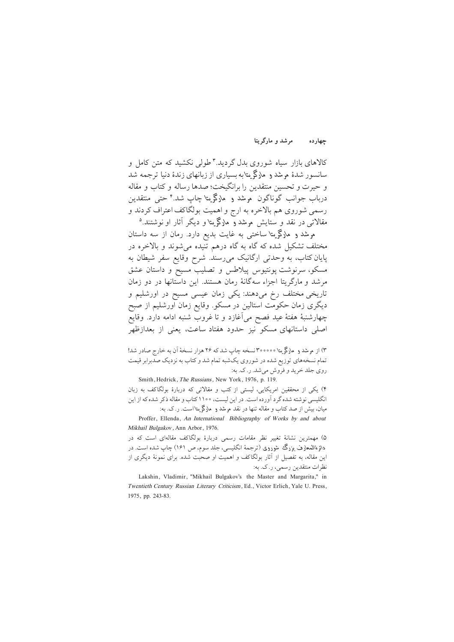مرشد و مارگریتا جهارده

کالاهای بازار سیاه شوروی بدل گردید.۳طولی نکشید که متن کامل و سانسور شدهٔ مرشد و ملاگر متابه بسیاری از زبانهای زندهٔ دنیا ترجمه شد و حيرت و تحسين منتقدين را برانگيخت؛ صدها رساله و كتاب و مقاله درباب جوانب گوناگون موشد و مارگریتا چاپ شد.<sup>۴</sup> حتی منتقدین رسمي شوروي هم بالاخره به ارج و اهميت بولگاكف اعتراف كردند و مقالاتے در نقد و ستایش مرشد و مارگم پتا و دیگر آثار او نوشتند.<sup>۵</sup>

مرشد و مارگریتا ساختبی به غایت بدیع دارد. رمان از سه داستان مختلف تشکیل شده که گاه به گاه درهم تنیده میشوند و بالاخره در یایان کتاب، به وحدتی ارگانیک می رسند. شرح وقایع سفر شیطان به مسکو، سرنوشت یونتیوس پیلاطس و تصلیب مسیح و داستان عشق مرشد و مارگر پتا اجزاء سهگانهٔ رمان هستند. این داستانها در دو زمان تاریخی مختلف رخ میدهند: یکی زمان عیسی مسیح در اورشلیم و دیگری زمان حکومت استالین در مسکو. وقایع زمان اورشلیم از صبح چهارشنبهٔ هفتهٔ عید فصح میآغازد و تا غروب شنبه ادامه دارد. وقایع اصلی داستانهای مسکو نیز حدود هفتاد ساعت، یعنی از بعدازظهر

۳) از مرشد و مارگریتا ۳۰۰۰۰۰ نسخه چاپ شد که ۲۶ هزار نسخهٔ اَن به خارج صادر شد! تمام نسخههای توزیع شده در شوروی یکشبه تمام شد و کتاب به نزدیک صدبرابر قیمت روي جلد خريد و فروش مي شد. ر. ک. به:

Smith, Hedrick, The Russians, New York, 1976, p. 119. ۴) یکی از محققین امریکایی، لیستی از کتب و مقالاتی که دربارهٔ بولگاکف به زبان انگلیسی نوشته شده گر د آورده است. در این لیست، ۱۱۰۰ کتاب و مقاله ذکر شده که از این مبان، بیش از صد کتاب و مقاله تنها در نقد م شد و حارگم پاست. ر.ک. به:

Proffer, Ellenda, An International Bibliography of Works by and about Mikhail Bulgakov, Ann Arbor, 1976.

۵) مهمترین نشانهٔ تغییر نظر مقامات رسمی دربارهٔ بولگاکف مقالهای است که در دائرةالمعارف بزرگ شوروی (ترجمهٔ انگلیسی، جلد سوم، ص ۱۶۱) چاپ شده است. در این مقاله، به تفصیل از آثار بولگاکف و اهمیت او صحبت شده. برای نمونهٔ دیگری از نظرات منتقدین رسمی، ر.ک. به:

Lakshin, Vladimir, "Mikhail Bulgakov's the Master and Margarita," in Twentieth Century Russian Literary Criticism, Ed., Victor Erlich, Yale U. Press, 1975, pp. 243-83.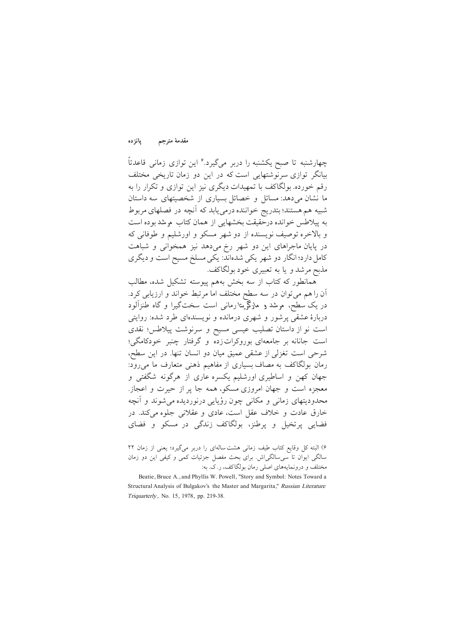مقدمة مترجم يانزده

چهارشنبه تا صبح یکشنبه را دربر میگیرد.<sup>۶</sup> این توازی زمانی قاعدتاً بیانگر توازی سرنوشتهایی است که در این دو زمان تاریخی مختلف رقم خورده. بولگاکف با تمهیدات دیگری نیز این توازی و تکرار را به ما نشان می دهد: مسائل و خصائل بسیاری از شخصیتهای سه داستان شبیه هم هستند؛ بتدریج خواننده درمی یابد که آنچه در فصلهای مربوط به پیلاطس خوانده درحقیقت بخشهایی از همان کتاب مرشد بوده است و بالاخره توصیف نویسنده از دو شهر مسکو و اورشلیم و طوفانی که در پایان ماجراهای این دو شهر رخ میدهد نیز همخوانی و شباهت کامل دارد؛ انگار دو شهر یکی شدهاند: یکی مسلخ مسیح است و دیگری مذبح مرشد و یا به تعبیری خود بولگاکف.

همانطور که کتاب از سه بخش بههم پیوسته تشکیل شده، مطالب آن را هم می توان در سه سطح مختلف اما مرتبط خواند و ارزیابی کرد. در یک سطح، مرشد و مارگریتا رمانی است سختگیرا و گاه طنزآلود دربارهٔ عشقی پرشور و شهری درمانده و نویسندهای طرد شده: روایتی است نو از داستان تصلیب عیسی مسیح و سرنوشت پیلاطس؛ نقدی است جانانه بر جامعهای بوروکراتزده و گرفتار چنبر خودکامگی؛ شرحی است تغزلی از عشقی عمیق میان دو انسان تنها. در این سطح، رمان بولگاکف به مصاف بسیاری از مفاهیم ذهنی متعارف ما می رود: جهان کهن و اساطیری اورشلیم یکسره عاری از هرگونه شگفتی و معجزه است و جهان امروزی مسکو، همه جا پر از حیرت و اعجاز. محدودیتهای زمانی و مکانی چون رؤیایی درنوردیده می شوند و آنچه خارق عادت و خلاف عقل است، عادی و عقلانی جلوه می کند. در فضایی پرتخیل و پرطنز، بولگاکف زندگی در مسکو و فضای

۶) البته کل وقایع کتاب طیف زمانی هشت سالهای را دربر میگیرد؛ یعنی از زمان ۲۲ سالگی ایوان تا سی سالگی اش برای بحث مفصل جزئیات کمی و کیفی این دو زمان مختلف و درونمایههای اصلی رمان بولگاکف، ر.ک. به:

Beatie, Bruce A., and Phyllis W. Powell, "Story and Symbol: Notes Toward a Structural Analysis of Bulgakov's the Master and Margarita," Russian Literature Triquarterly, No. 15, 1978, pp. 219-38.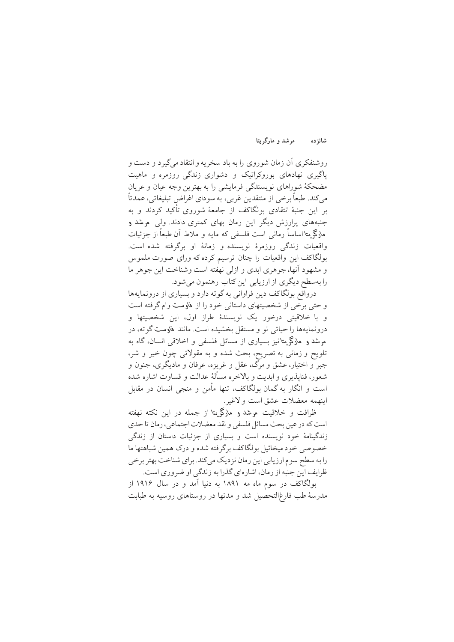#### مرشد و مارگریتا شانزده

روشنفکری آن زمان شوروی را به باد سخریه و انتقاد میگیرد و دست و پاگیری نهادهای بوروکراتیک و دشواری زندگی روزمره و ماهیت مضحکهٔ شوراهای نویسندگی فرمایشی را به بهترین وجه عیان و عریان می کند. طبعاً برخی از منتقدین غربی، به سودای اغراض تبلیغاتی، عمدتاً بر این جنبهٔ انتقادی بولگاکف از جامعهٔ شوروی تأکید کردند و به جنبههای برارزش دیگر این رمان بهای کمتری دادند. ولی پیشد و ماركم يتا اساساً رماني است فلسفي كه مايه و ملاط أن طبعاً از جزئيات واقعیات زندگی روزمرهٔ نویسنده و زمانهٔ او برگرفته شده است. بولگاکف این واقعیات را چنان ترسیم کرده که ورای صورت ملموس و مشهود آنها، جوهري ابدي و ازلي نهفته است وشناخت اين جوهر ما را بهسطح دیگری از ارزیابی این کتاب رهنمون می شود.

درواقع بولگاكف دين فراواني به گوته دارد و بسياري از درونمايهها و حتی برخی از شخصیتهای داستانی خود را از فاوست وام گرفته است و با خلاقیتی درخور یک نویسندهٔ طراز اول، این شخصیتها و درونمايهها را حياتي نو و مستقل بخشيده است. مانند فاوست گوته، در موشد و مارگریتانیز بسیاری از مسائل فلسفی و اخلاقی انسان، گاه به تلويح و زماني به تصريح، بحث شده و به مقولاتي چون خير و شر، جبر و اختیار، عشق و مرگ، عقل و غریزه، عرفان و مادیگری، جنون و شعور، فنايذيري و ابديت و بالاخره مسألهٔ عدالت و قساوت اشاره شده است و انگار به گمان بولگاکف، تنها مأمن و منجی انسان در مقابل ابنهمه معضلات عشق است و لاغير.

ظرافت و خلاقت موشد و مارگم بتا از جمله در این نکته نهفته است كه در عين بحث مسائل فلسفى و نقد معضلات اجتماعي، رمان تا حدى زندگینامهٔ خود نویسنده است و بسیاری از جزئیات داستان از زندگی خصوصي خود ميخائيل بولگاكف برگرفته شده و درك همين شباهتها ما را به سطح سوم ارزیابی این رمان نزدیک میکند. برای شناخت بهتر برخی ظرایف این جنبه از رمان، اشارهای گذرا به زندگی او ضروری است.

بولگاکف در سوم ماه مه ۱۸۹۱ به دنیا آمد و در سال ۱۹۱۶ از مدرسهٔ طب فارغ|لتحصیل شد و مدتها در روستاهای روسیه به طبابت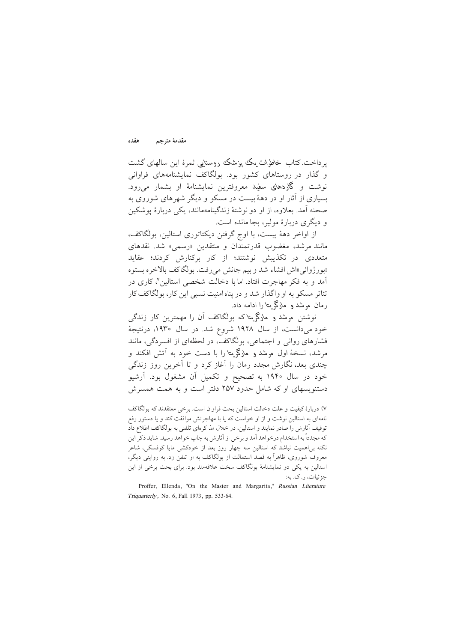هفده مقدمة مترجم

یرداخت کتاب خاطرات یک پزشک روستایی ثمرهٔ این سالهای گشت و گذار در روستاهای کشور بود. بولگاکف نمایشنامههای فراوانی نوشت و گلادهای سفند معروفترین نمایشنامهٔ او بشمار میرود. بسیاری از آثار او در دههٔ بیست در مسکو و دیگر شهرهای شوروی به صحنه آمد. بعلاوه، از او دو نوشتهٔ زندگینامهمانند، یکی دربارهٔ یوشکین و دیگری دربارهٔ مولیر، بجا مانده است.

از اواخر دههٔ بیست، با اوج گرفتن دیکتاتوری استالین، بولگاکف، مانند مرشد، مغضوب قدرتمندان و منتقدین «رسمی» شد. نقدهای متعددی در تکذیش نوشتند؛ از کار برکنارش کردند؛ عقاید «بورژوائي»اش افشاء شد و بيم جانش مي رفت. بولگاكف بالاخره بستوه آمد و به فکر مهاجرت افتاد. اما با دخالت شخصی استالین ۷ کاری در تئاتر مسکو به او واگذار شد و در پناه امنیت نسبی این کار، بولگاکف کار رمان م شد و مارگم یتا را ادامه داد.

نوشتن مرشد و مارگر بتا که بولگاکف آن را مهمترین کار زندگی خود می دانست، از سال ۱۹۲۸ شروع شد. در سال ۱۹۳۰، درنتیجهٔ فشارهای روانی و اجتماعی، بولگاکف، در لحظهای از افسردگی، مانند مرشد، نسخهٔ اول مرشد و مارگریتا را با دست خود به آتش افکند و چندی بعد، نگارش مجدد رمان را آغاز کرد و تا آخرین روز زندگی خود در سال ۱۹۴۰ به تصحیح و تکمیل آن مشغول بود. آرشیو دستنویسهای او که شامل حدود ۲۵۷ دفتر است و به همت همسرش

۷) دربارهٔ کیفیت و علت دخالت استالین بحث فراوان است. برخی معتقدند که بولگاکف نامهای به استالین نوشت و از او خواست که یا با مهاجرتش موافقت کند و یا دستور رفع توقیف آثارش را صادر نمایند و استالین، در خلال مذاکرهای تلفنی به بولگاکف اطلاع داد كه مجدداً به استخدام درخواهد آمد و برخي از آثارش به چاپ خواهد رسيد. شايد ذكر اين نکته بی|همیت نباشد که استالین سه چهار روز بعد از خودکشی مایا کوفسکی، شاعر معروف شوروی، ظاهراً به قصد استمالت از بولگاکف به او تلفن زد. به روایتی دیگر، استالین به یکی دو نمایشنامهٔ بولگاکف سخت علاقهمند بود. برای بحث برخی از این جزئيات، ر . ک. به:

Proffer, Ellenda, "On the Master and Margarita," Russian Literature Triquarterly, No. 6, Fall 1973, pp. 533-64.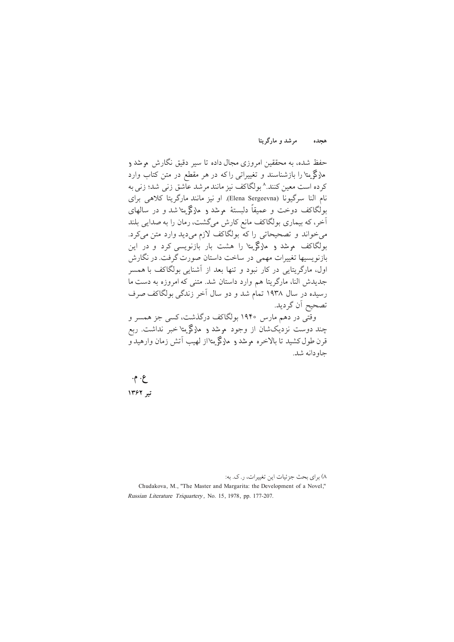مرشد و مارگریتا هجده

حفظ شده، به محققین امروزی مجال داده تا سیر دقیق نگارش م شد و ملاگریتا را بازشناسند و تغییراتی راکه در هر مقطع در متن کتاب وارد کرده است معین کنند.^ بولگاکف نیز مانند مرشد عاشق زنی شد؛ زنی به نام النا سرگیونا (Elena Sergeevna). او نیز مانند مارگریتا کلاهی برای بولگاکف دوخت و عمیقاً دلیستهٔ موشد و مارگریتا شد و در سالهای أخر، كه بيماري بولگاكف مانع كارش ميگشت، رمان را به صدايي بلند م خواند و تصحیحاتی را که بولگاکف لازم میدید وارد متن میکرد. بولگاکف مرشد و مارگریتا را هشت بار بازنویسی کرد و در این بازنویسیها تغییرات مهمی در ساخت داستان صورت گرفت. در نگارش اول، مارگریتایی در کار نبود و تنها بعد از آشنایی بولگاکف با همسر جدیدش النا، مارگریتا هم وارد داستان شد. متنی که امروزه به دست ما رسیده در سال ۱۹۳۸ تمام شد و دو سال آخر زندگی بولگاکف صرف تصحيح اّن گرديد.

وقتی در دهم مارس ۱۹۴۰ بولگاکف درگذشت، کسی جز همسر و چند دوست نزدیکشان از وجود موشد و مارگریتا خبر نداشت. ربع قرن طول کشید تا بالاخره مرشد و مارگی پتااز لهیب آتش زمان وارهید و حاه دانه شد.

 $\cdot \cdot \cdot$ ع تہ ١٣۶٢

۸) برای بحث جزئیات این تغییرات، ر. ک. به: Chudakova, M., "The Master and Margarita: the Development of a Novel," Russian Literature Triquartery, No. 15, 1978, pp. 177-207.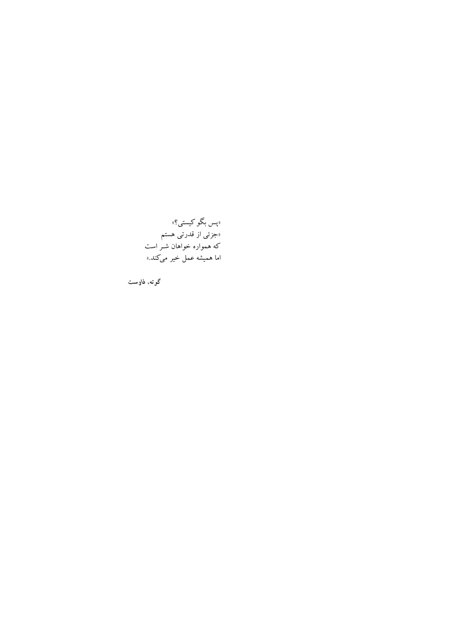«پس بگو کیستی؟» «جزئی از قدرتی هستم که همواره خواهان شـر است اما هميشه عمل خير مي *كند*.»

گوته، فاوست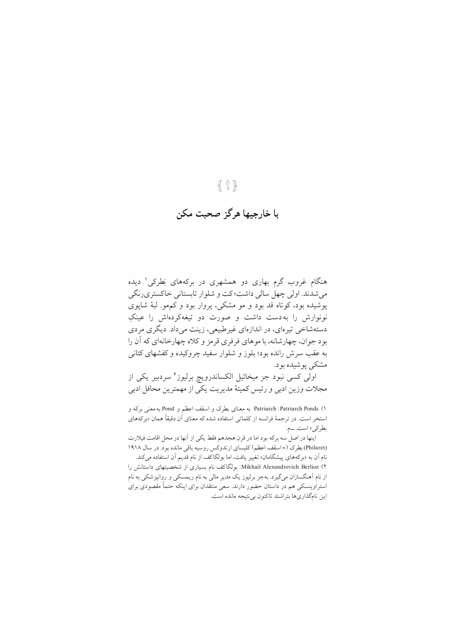## $\{ \ \}$

# ب**ا خارجيها هرگز صحبت مکن**

هنگام غروب گرم بهاری دو همشهری در برکههای بَطرکی' دیده مي شدند. اولي چهل سالي داشت؛ كت و شلوار تابستاني خاكستري رنگي یو شیده بود، کو تاه قد بود و مو مشکی، پروار بود و کمهو. لبهٔ شایوی نونوارش را به دست داشت و صورت دو تیغهکردهاش را عینکِ دستهشاخی تیرهای، در اندازهای غیرطبیعی، زینت می داد. دیگری مردی بو د جوان، چهار شانه، يا موهاي فرفري قرمز و كلاه چهارخانهاي كه آن را په عقب سرش رانده بود؛ پلوز و شلوار سفید چروکیده و کفشهای کتانی مشک<sub>ی یو</sub>شیده بود.

اولی کسی نبود جز میخائیل الکساندرویچ برلیوز<sup>۲</sup> سردبیر یکی از مجلات وزين ادبي و رئيس كميتهٔ مديريت يكي از مهمترين محافل ادبي

1) Patriarch Ponds و Patriarch Honds و Pond و Pond به معنى بركه و استخر است. در ترجمهٔ فرانسه از کلماتی استفاده شده که معنای اَن دقیقاً همان «برکههای بطر کے » است. ــم.

اينها در اصل سه بركه بود اما در قرن هجدهم فقط يكي از آنها در محل اقامت فيلارت (Philaret) بطرك (=اسقف اعظم) كليساي ارتدوكس روسيه باقي مانده بود. در سال ١٩١٨ نام آن به «بركههاي پيشگامان» تغيير يافت، اما بولگاكف از نام قديم آن استفاده ميكند. 2) Berlioz Alexandrovich Mikhail: M±§¢ŸB¯ •B ¨vM¼ºnB pA{ h¼~T´ºB BTwAj¯y An از نام آهنگسازان میگیرد. بهجز برلیوز یک مدیر مالی به نام ریمسکی و روانپزشکی به نام استراوینسکی هم در داستان حضور دارند. سعی منتقدان برای اینکه حتماً مقصودی برای این نامگذاریها بتراشند تاکنون بی نتیجه مانده است.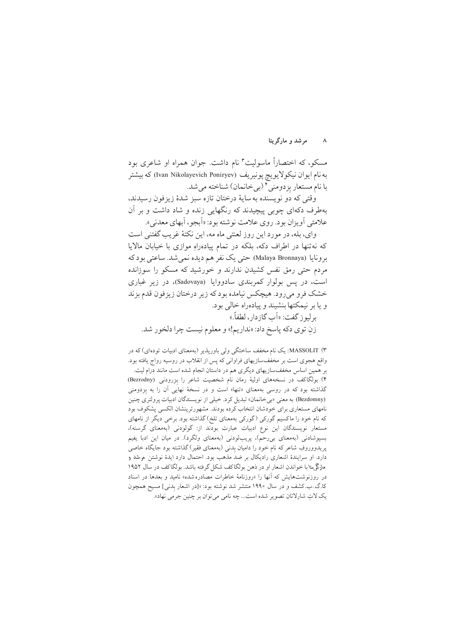### ۸ مړ شد و مارگر پتا

مسکو، که اختصاراً ماسولیت" نام داشت. جوان همراه او شاعری بود به نام ايوان نيكولايويچ پونيريف (Ivan Nikolayevich Poniryev) كه بيشتر با نام مستعار بِزدومني <sup>؟</sup> (بيخانمان) شناخته مي شد.<br>.

وقتى كه دو نو يسنده به ساية درختان تازه سبز شدهٔ زيزفون رسيدند، بهطرف دکهای چوبی پیچیدند که رنگهایی زنده و شاد داشت و بر آن علامتی أويزان بو د. روي علامت نوشته بو د: «أبجو ، أبهاي معدني».

واي، بله، در مورد اين روز لعنتي ماه مه، اين نكتهٔ غريب گفتني است که نه تنها در اطراف دکه، بلکه در تمام پیادهراهِ موازی با خیابان مالایا برونايا (Malaya Bronnaya) حتى يك نفر هم ديده نمي شد. ساعتى بود كه مردم حتی رمق نفس کشیدن ندارند و خورشید که مسکو را سوزانده است، در پس بولوار کمرېندې سادووايا (Sadovaya)، در زيړ غباري خشک فرو می رود. هیچکس نیامده بودکه زیر درختان زیزفون قدم بزند و يا بر نيمكتها بنشيند و پيادهراه خالي بود. بر ليو ز گفت: «آب گاز دار ، لطفاً.» زنِ توي دكه پاسخ داد: «نداريم!» و معلوم نيست چرا دلخور شد.

۳) MASSOLIT: یک نام مخفف ساختگی ولی باوریذیر (بهمعنای ادبیات تودهای) که در واقع هجوي است بر مخففسازيهاي فراواني كه پس از انقلاب در روسيه رواج يافته بود. بر همین اساس مخففسازیهای دیگری هم در داستان انجام شده است مانند درام لیت. ۴) بولگاکف در نسخههای اولیهٔ رمان نام شخصیت شاعر را بِزرودنی (Bezrodny) ß گذاشته بود که در روسی بهمعنای «تنها» است و در نسخهٔ نهایی ان را به بِزدومنی ß (Bezdomny) به معنى «بي خانمان» تبديل كرد. خيلي از نويسندگان ادبيات يرولتري چنين نامهای مستعاری برای خودشان انتخاب کرده بودند. مشهورترینشان الکسی پشکوف بود که نام خود را ماکسیم گورکی (گورکی بهمعنای تلخ) گذاشته بود. برخی دیگر از نامهای هستعار نويسندگان اين نوع ادبيات عبارت بودند از: گولودنى (بهمعناى گرسنه)، بسپوشادنی (بهمعنای بی رحم)، پریبالودنی (بهمعنای ولگرد). در میان این ادبا یفیم بریدووروفِ شاعر که نام خود را دامیان بِدنی (بهمعنای فقیر) گذاشته بود جایگاه خاصی دارد. او سرایندهٔ اشعاری رادیکال بر ضد مذهب بود. احتمال دارد ایدهٔ نوشتن موشد و هارگی یتا با خواندن اشعار او در ذهن بولگاكف شكل گرفته باشد. بولگاكف در سال ۱۹۵۲ در روزنوشتهایش که آنها را «روزنامهٔ خاطرات مصادره شده» نامید و بعدها در اسناد داگ ب.کشف و در سال ۱۹۹۰ منتشر شد نوشته بود: «[در اشعار بِدنی] مسیح همچون<br>-یک لات شارلاتان تصویر شده است... چه نامی میتوان بر چنین جرمی نهاد».  $\vdots$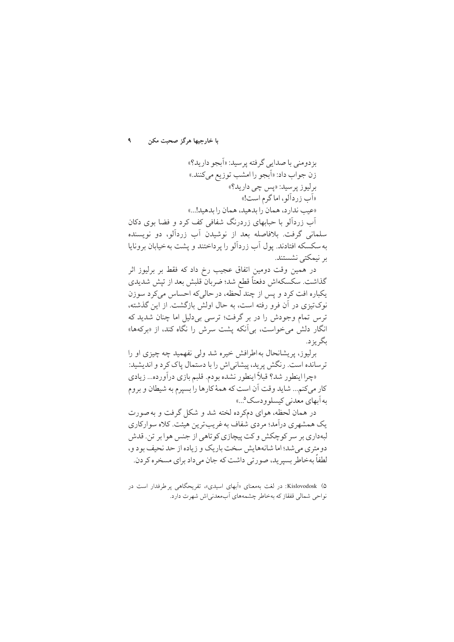بزدومني با صدايي گرفته پر سيد: «اَبجو داريد؟» زن جواب داد: «أبجو را امشب توزيع مي كنند.» بر ليو زير سيد: «يس چي داريد؟» «آب زردآلو ، اما گرم است!» «عيب ندارد، همان را بدهيد، همان را بدهيد!...»

آب زردآلو یا جیابھای زردرنگ شفافی کف کرد و فضا بوی دکان سلمانی گرفت. بلافاصله بعد از نوشیدن آب زردآلو، دو نویسنده به سکسکه افتادند. یول آب زردآلو را پرداختند و پشت به خیابان برونایا بر نیمکتے نشستند.

در همین وقت دومین اتفاق عجیب رخ داد که فقط بر برلیوز اثر گذاشت. سکسکهاش دفعتاً قطع شد؛ ضربان قلبش بعد از تپش شدیدی يکباره افت کرد و پس از چند لحظه، در حالي که احساس مي کرد سوزن نوکتیزی در آن فرو رفته است، به حال اولش بازگشت. از این گذشته، ترس تمام وجودش را در بر گرفت؛ ترسی بی دلیل اما چنان شدید که انگار دلش میخواست، بی آنکه پشت سرش را نگاه کند، از «برکهها» ىگە يۇ د.

برليوز، پريشانحال به اطرافش خيره شد ولي نفهميد چه چيزي او را تر سانده است. رنگش پرید، پیشانی اش را با دستمال یاک کر د و اندیشید: «چرا اینطور شد؟ قبلاً اینطور نشده بودم. قلبم بازی درآورده... زیادی كار مي كنم... شايد وقت أن است كه همهٔ كارها را بسيرم به شيطان و بروم په آبهای معدنی کېسلو و دسک<sup>۵</sup>...»

در همان لحظه، هواي دمكرده لخته شد و شكل گرفت و به صورت یک همشهری درآمد؛ مردی شفاف به غریبترین هیئت. کلاه سوارکاری لبهداري بر سر كوچكش وكت پيچازي كوتاهي از جنس هوا بر تن. قدش دومتری می شد؛ اما شانههایش سخت باریک و زیاده از حد نحیف بود و، لطفاً بهخاطر بسیرید، صورتی داشت که جان می داد برای مسخر ه کر دن.

۵) Kislovodosk: در لغت بهمعنای «اَبهای اسیدی»، تفریحگاهی پرطرفدار است در نواحی شمالی قفقاز که بهخاطر چشمههای آبمعدنیاش شهرت دارد.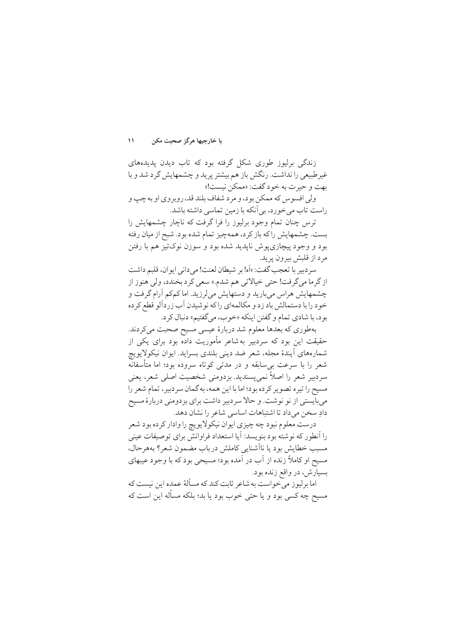$\mathcal{L}$ با خارجيها هرگز صحبت مكن

زندگی برلیوز طوری شکل گرفته بود که تاب دیدن پدیدههای غیرطبیعی را نداشت. رنگش باز هم بیشتر پرید و چشمهایش گرد شد و با بهت و حيرت به خود گفت: «ممكن نيست!»

ولي افسوس كه ممكن بود، و مرد شفاف بلند قد، روبروي او به چپ و راست تاب می خورد، بی آنکه با زمین تماسی داشته باشد.

ترس چنان تمام وجود برلیوز را فراگرفت که ناچار چشمهایش را بست. چشمهایش راکه باز کرد، همهچیز تمام شده بود. شبح از میان رفته بود و وجود پیچازی پوش ناپدید شده بود و سوزن نوکتیز هم با رفتن مرد از قلبش پیرون پرید.

سر دبير با تعجب گفت: «اَه! بر شيطان لعنت! مي داني ايوان، قلبم داشت از گرما مي گرفت! حتى خيالاتي هم شدم.» سعى كرد بخندد، ولي هنوز از چشمهایش هراس میبارید و دستهایش میلرزید. اماکمکم آرام گرفت و خود را با دستمالش باد زد و مکالمهای راکه نوشیدن آب زردآلو قطع کرده بود، با شادي تمام و گفتن اينكه «خوب، ميگفتيم» دنبال كرد.

بهطوري كه بعدها معلوم شد دربارهٔ عیسی مسیح صحبت می كردند. حقیقت این بود که سردبیر بهشاعر مأموریت داده بود برای یکی از شمارههای آیندهٔ مجله، شعر ضد دینی بلندی بسراید. ایوان نیکولایویچ شعر را با سرعت بی سابقه و در مدتی کوتاه سروده بود؛ اما متأسفانه سردبیر شعر را اصلاً نمی پسندید. بزدومنی شخصیت اصلی شعر، یعنی مسیح را تیره تصویر کرده بود؛ اما با این همه، به گمان سردبیر، تمام شعر را می بایستی از نو نوشت. و حالا سردبیر داشت برای بزدومنی دربارهٔ مسیح دادِ سخن می داد تا اشتباهات اساسی شاعر را نشان دهد.

درست معلوم نبود چه چیزی ایوان نیکولایو یچ را وادار کر ده بود شعر را أنطور كه نوشته بود بنويسد: أيا استعداد فراوانش براي توصيفات عيني مسبب خطایش بود یا ناأشنایی کاملش درباب مضمون شعر؟ بههرحال، مسیح او کاملاً زنده از آب در آمده بود؛ مسیحی بود که با وجود عیبهای بسیارش، در واقع زنده بود.

اما برلیوز می خواست به شاعر ثابت کند که مسألهٔ عمده این نیست که مسیح چه کسی بود و یا حتی خوب بود یا بد؛ بلکه مسأله این است که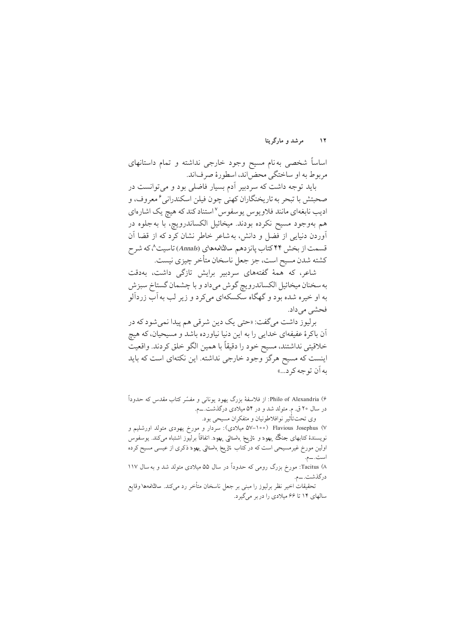مرشد و مارگر بتا  $\gamma$ 

اساساً شخصی به نام مسیح وجود خارجی نداشته و تمام داستانهای مر بوط به او ساختگی محض(اند، اسطورهٔ صرفاند.

باید توجه داشت که سردبیر آدم بسیار فاضلی بود و می توانست در صحبتش با تبحر به تاريخنگاران كهني چون فيلن اسكندراني ً معروف، و ادیب نابغهای مانند فلاویوس یوسفوس استناد کند که هیچ یک اشارهای هم بهوجود مسيح نكرده بودند. ميخائيل الكساندرويچ، با به جلوه در آوردن دنیایی از فضل و دانش، به شاعر خاطر نشان کرد که از قضا آن قسمت از بخش ۴۴ کتاب پانز دهم سالنامههای (Annals) تاسیت^، که شر ح كشته شدن مسيح است، جز جعل ناسخان متأخر چيزي نيست.

شاعر، که همهٔ گفتههای سردبیر برایش تازگی داشت، بهدقت به سخنان میخائیل الکساندرویچ گوش میداد و با چشمان گستاخ سبزش به او خيره شده بود و گهگاه سكسكهاي ميكرد و زير لب به آب زردآلو فحشى مى داد.

برليوز داشت مي گفت: «حتى يک دين شرقي هم پيدا نمي شو د که در اّن باکرهٔ عفیفهای خدایی را به این دنیا نیاورده باشد و مسیحیان، که هیچ خلاقيتي نداشتند، مسيح خود را دقيقاً با همين الگو خلق كردند. واقعيت اینست که مسیح هرگز وجود خارجی نداشته. این نکتهای است که باید به آن تو جه کر د...»

۶) Philo of Alexandria: از فلاسفهٔ بزرگ یهود یونانی و مفسّر کتاب مقدس که حدوداً در سال ۲۰ ق. م. متولد شد و در ۵۴ میلادی درگذشت. ــم. وي تحت تأثير نوافلاطونيان و متفكران مسيحي بود.

۷) Flavious Josephus (۱۰۰–۵۷ میلادی): سردار و مورخ یهودی متولد اورشلیم و نویسندهٔ کتابهای جنگ یهود و تاریخ باستانی یهود. اتفاقاً برلیوز اشتباه میکند. یوسفوس اولین مورخ غیرمسیحی است که در کتاب تلایخ باستانی یهود ذکری از عیسی مسیح کرده است.\_م.

۸) Tacitus: مورخ بزرگ رومی که حدوداً در سال ۵۵ میلادی متولد شد و به سال ۱۱۷ درگذشت.\_م.

تحقيقات اخير نظر برليوز را مبنى بر جعل ناسخان متأخر رد مىكند. سالناههها وقايع سالهای ۱۴ تا ۶۶ میلادی را در بر میگیرد.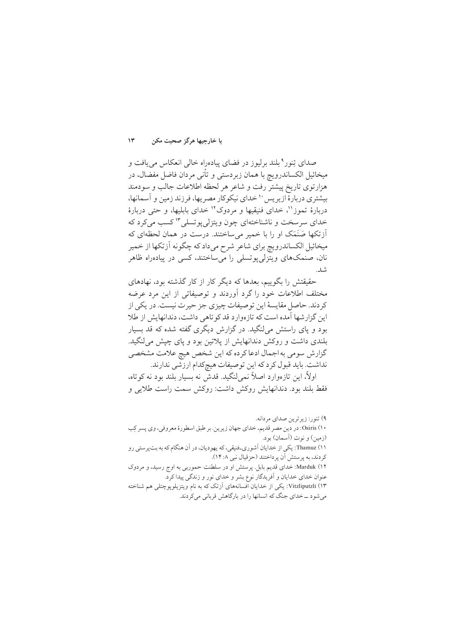با خارجيها هرگز صحبت مكن  $\mathcal{N}$ 

صدای تِنور°بلند برلیوز در فضای پیادهراه خالی انعکاس می یافت و میخائیل الکساندرویچ با همان زبردستی و تأنی مردان فاضل مفضال، در هزارتوی تاریخ پیشتر رفت و شاعر هر لحظه اطلاعات جالب و سودمند بیشتری دربارهٔ ازیر پس ۱٬ خدای نیکوکار مصر یها، فرزند زمین و آسمانها، دربارهٔ تموز''، خدای فنیقیها و مردوک'' خدای بابلیها، و حتی دربارهٔ خدای سرسخت و ناشناختهای چون ویتزلی یو تسلی ۱۳ کسب می کرد که اَزتکها صَنَمَک او را با خمیر میساختند. درست در همان لحظهای که میخائیل الکساندرویچ برای شاعر شرح میداد که چگونه اَزتکها از خمیر نان، صنمکهای ویتزلمی یو تسلمی را می ساختند، کسی در پیادهراه ظاهر شد.

حقیقتش را بگوییم، بعدها که دیگر کار از کار گذشته بود، نهادهای مختلف اطلاعات خود راگرد آوردند و توصیفاتی از این مرد عرضه كردند. حاصل مقايسهٔ اين توصيفات چيزي جز حيرت نيست. در يكي از این گزارشها آمده است که تازهوارد قد کو تاهی داشت، دندانهایش از طلا بود و یای راستش میلنگید. در گزارش دیگری گفته شده که قد بسبار بلندی داشت و روکش دندانهایش از یلاتین بود و یای چیش می لنگید. گزارش سومی به اجمال ادعا کرده که این شخص هیچ علامت مشخصی نداشت. بايد قبول كرد كه اين توصيفات هيچكدام ارزشي ندارند.

اولاً، این تازهوارد اصلاً نمیلنگید. قدش نه بسیار بلند بود نه کوتاه، فقط بلند بود. دندانهایش روکش داشت: روکش سمت راست طلایی و

۹) تنور: زيرترين صداي مردانه. ۰۱) Osiris: در دين مصر قديم، خداي جهان زيرين. بر طبق اسطورهٔ معروفي، وي پسر كِب (زمین) و نوت (آسمان) بود. ١١) Thamuz: يكي از خدايان آشوري\_فنيقي، كه يهوديان، در آن هنگام كه به بتيرستي رو كردند، به پرستش آن پرداختند (حزقيال نبي ١٤:٨). ۱۲) Marduk: خدای قدیم بابل. پرستش او در سلطنت حموربی به اوج رسید، و مردوک عنوان خدای خدایان و آفریدگار نوع بشر و خدای نور و زندگی پیدا کرد. ۰۱۳) Vitzliputzli: یکی از خدایان افسانههای آزتک که به نام ویتزیلوپوچتلی هم شناخته می شود ــ خدای جنگ که انسانها را در بارگاهش قربانی میکردند.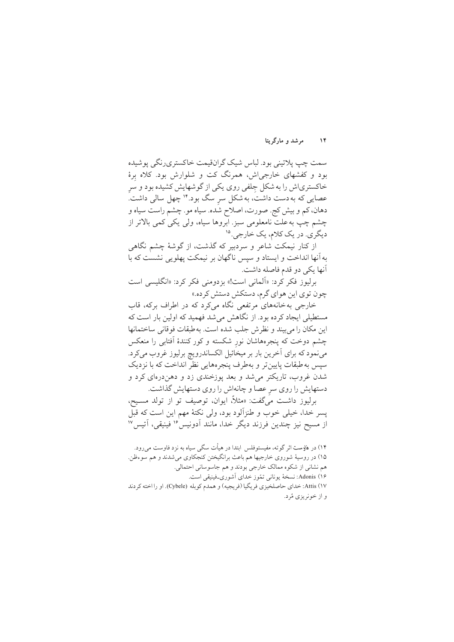مرشد و مارگریتا  $\mathcal{N}$ 

سمت چپ پلاتيني بود. لباس شيک گران قيمت خاکستري رنگي پوشيده بود و کفشهای خارجی اش، همرنگ کت و شلوارش بود. کلاه برهٔ خاکستریاش را به شکل جلفی روی یکی از گوشهایش کشیده بود و سر عصایی که به دست داشت، به شکل سر سگ بود.'' چهل سالی داشت. دهان، کم و بیش کج. صورت، اصلاح شده. سیاه مو. چشم راست سیاه و چشم چپ به علت نامعلومی سبز. ابروها سیاه، ولی یکی کمی بالاتر از دیگری. در یک کلام، یک خارجی. ۱۵

از کنار نیمکت شاعر و سردبیر که گذشت، از گوشهٔ چشم نگاهی به آنها انداخت و ایستاد و سپس ناگهان بر نیمکت پهلویی نشست که با آنها يكي دو قدم فاصله داشت.

برليوز فكر كرد: «اَلماني است!» بزدومني فكر كرد: «انگليسي است چون توي اين هواي گرم، دستكش دستش كرده.»

خارجی به خانههای مرتفعی نگاه میکرد که در اطراف برکه، قاب مستطیل<sub>ه ،</sub> ایجاد کرده بود. از نگاهش می شد فهمید که اولین بار است که اين مكان را مي بيند و نظر ش جلب شده است. به طبقات فوقاني ساختمانها چشم دوخت که پنجرههاشان نور شکسته و کور کنندهٔ اَفتابی را منعکس مي نمود كه براي آخرين بار بر ميخائيل الكساندرويچ برليوز غروب ميكرد. سپس به طبقات پایین تر و بهطرف پنجرههایی نظر انداخت که با نزدیک شدن غروب، تاریکتر می شد و بعد یوزخندی زد و دهندرهای کرد و دستهایش را روی سر عصا و چانهاش را روی دستهایش گذاشت.

برليوز داشت مي گفت: «مثلاً، ايوان، توصيف تو از تولد مسـيح، يسر خدا، خيلي خوب و طنزِآلود بود، ولي نكتهٔ مهم اين است كه قبل از مسیح نیز چندین فرزند دیگر خدا، مانند آدونیس<sup>9</sup> فینیقی، آتیس<sup>۱۷</sup>

۱۴) در فاوست اثر گوته، مفیستوفلس ابتدا در هیأت سگی سیاه به نزد فاوست میرود. ۱۵) در روسیهٔ شوروی خارجیها هم باعث برانگیختن کنجکاوی میشدند و هم سوءظن. هم نشاني از شکوه ممالک خارجي بودند و هم جاسوساني احتمالي. Adonis (۱۶: نسخهٔ یونانی تمّوز خدای آشوری-فینیقی است. Attis (۱۷: خداي حاصلخيزي فريگيا (فريجيه) و همدم كوبله (Cybele). او را اخته كردند و از خونریزی مُرد.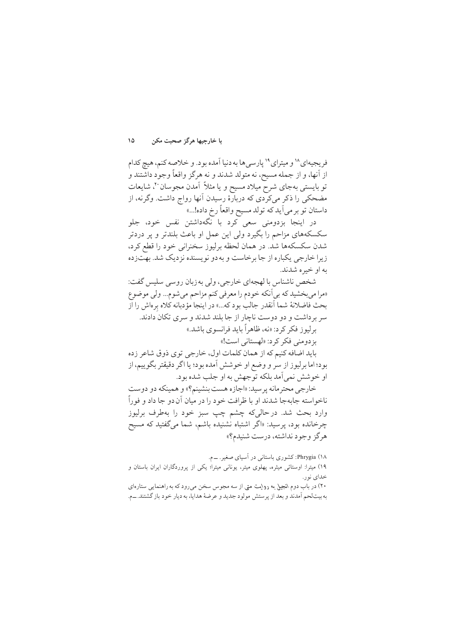با خارجيها هرگز صحبت مكن ۱۵

فريجيهاي^` و ميتراي `` يارسي ها به دنيا آمده بود. و خلاصه كنم، هيج كدام از آنها، و از جمله مسیح، نه متولد شدند و نه هرگز واقعاً وجود داشتند و تو بایستی بهجای شرح میلاد مسیح و یا مثلاً آمدن مجوسان ۲۰، شایعات مضحکی را ذکر میکردی که دربارهٔ رسیدن آنها رواج داشت. وگرنه، از داستان تو بر مي اَيد كه تولد مسيح واقعاً رخ داده!...»

در اینجا بزدومنی سعی کرد با نگهداشتن نفس خود، جلو سکسکههای مزاحم را بگیرد ولی این عمل او باعث بلندتر و پر دردتر شدن سکسکهها شد. در همان لحظه برلیوز سخنرانی خود را قطع کرد، زیرا خارجی یکباره از جا برخاست و به دو نویسنده نزدیک شد. بهتزده به او خبره شدند.

شخص ناشناس با لهجهاي خارجي، ولي به زبان روسي سليس گفت: «مرا ميبخشيد كه بي أنكه خودم را معرفي كنم مزاحم مي شوم... ولي موضوع بحث فاضلانهٔ شما آنقدر جالب بود که...» در اینجا مؤدبانه کلاه برەاش را از سر بر داشت و دو دوست ناچار از جا بلند شدند و سری تکان دادند. برليوز فكر كرد: «نه، ظاهراً بايد فرانسوي باشد.» بز دومني فكر كرد: «لهستاني است!»

بايد اضافه كنيم كه از همان كلمات اول، خارجي توى ذوق شاعر زده بود؛ اما برلیوز از سر و وضع او خوشش آمده بود؛ یا اگر دقیقتر بگوییم، از او خوشش نمي آمد بلكه توجهش به او جلب شده بود.

خارجي محتر مانه پر سيد: «اجازه هست بنشينم؟» و همينكه دو دوست ناخواسته جابهجا شدند او با ظرافت خود را در میان آن دو جا داد و فوراً وارد بحث شد. درحالي که چشم چپ سبز خود را بهطرف برليوز چرخانده بود، پرسید: «اگر اشتباه نشنیده باشم، شما میگفتید که مسیح هرگز وجود نداشته، درست شنیدم؟»

Phrygia (۱۸: کشوری باستانی در آسیای صغیر. ـــ م. ١٩) میترا: اوستائی میثره، پهلوی میتر، یونانی میترا؛ یکی از پروردگاران ایران باستان و خدای نور. ۲۰) در باب دوم انجیل به روایت متی از سه مجوس سخن می رود که به راهنمایی ستارهای به بيتلحم أمدند و بعد از پرستش مولود جديد و عرضهٔ هدايا، به ديار خود باز گشتند.\_م.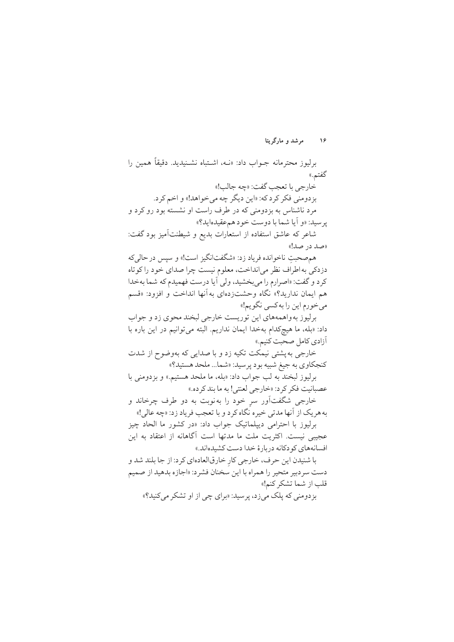برليوز محترمانه جـواب داد: «نــه، اشــتباه نشــنيديد. دقيقاً همين را گفتم.» خارجي با تعجب گفت: «چه جالب!» بز دومني فكر كرد كه: «اين ديگر چه مي خواهد!» و اخم كرد. مرد ناشناس به بزدومنی که در طرف راست او نشسته بود رو کرد و يرسيد: «و أيا شما با دوست خود هم عقيدهايد؟»

شاعر كه عاشق استفاده از استعارات بديع و شيطنتأميز بود گفت: «صد در صد!»

هم صحبت ناخوانده فرياد زد: «شگفتانگيز است!» و سيس در حالي كه دزدکی به اطراف نظر می انداخت، معلوم نیست چرا صدای خود را کو تاه كرد و گفت: «اصرارم را مي بخشيد، ولي آيا درست فهميدم كه شما بهخدا هم ايمان نداريد؟» نگاه وحشتزدهاى به آنها انداخت و افزود: «قسم مي خورم اين را به كسي نگويم!»

برليوز به واهمههاي اين توريست خارجي لبخند محوي زد و جواب داد: «بله، ما هيچكدام بهخدا ايمان نداريم. البته مي توانيم در اين باره با آزادي كامل صحبت كنيم.»

خارجي به يشتى نيمكت تكيه زد و با صدايي كه بهوضوح از شدت کنجکاوي به جيغ شبيه بود پرسيد: «شما... ملحد هستيد؟»

برليوز لبخند به لب جواب داد: «بله، ما ملحد هستيم.» و بزدومني با عصبانيت فكر كرد: «خارجي لعنتي! به ما بند كرده.»

خارجي شگفتاور سر خود را بهنوبت به دو طرف چرخاند و<br>-به هر يک از آنها مدتي خيره نگاه کرد و با تعجب فرياد زد: «چه عالي!»

برليوز با احترامي دييلماتيک جواب داد: «در كشور ما الحاد چيز عجیبی نیست. اکثریت ملت ما مدتها است آگاهانه از اعتقاد به این افسانههای کودکانه دربارهٔ خدا دست کشیدهاند.»

با شنیدن این حرف، خارجی کارِ خارقالعادهای کرد: از جا بلند شد و دست سر دبیر متحیر را همراه با این سخنان فشر د: «اجازه بدهید از صمیم قلب از شما تشكر كنم!»

بزدومنی که پلک میزد، پرسید: «برای چی از او تشکر می کنید؟»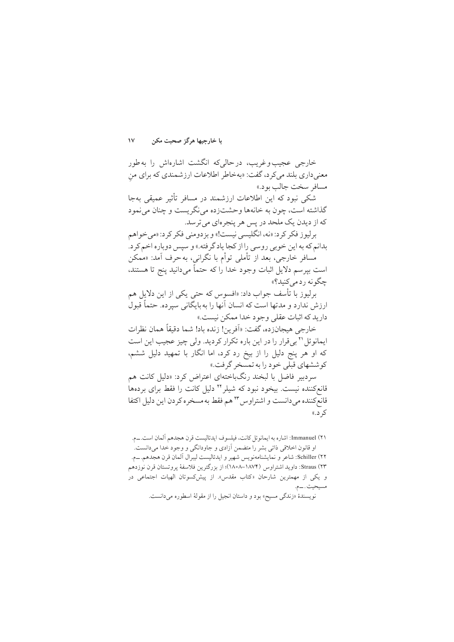با خارجيها هرگز صحبت مكن  $\sqrt{}$ 

خارجی عجیب وغریب، درحالی که انگشت اشارهاش را بهطور معنی داری بلند میکرد، گفت: «بهخاطر اطلاعات ارزشمندی که برای من مسافر سخت جالب بود.»

شکی نبود که این اطلاعات ارزشمند در مسافر تأثیر عمیقی بهجا گذاشته است، چون به خانهها وحشتزده می نگریست و چنان می نمود که از دیدن یک ملحد در پس هر پنجرهای می ترسد.

برليوز فكر كرد: «نه، انگليسي نيست!» و بزدومني فكر كرد: «مي خواهم بدانم که به این خوبی روسی را از کجا یاد گرفته.» و سپس دوباره اخم کرد. مُسافر خارجي، بعد از تأملي توأم با نگراني، به حرف آمد: «مُمكن

است بیر سم دلایل اثبات وجود خدا را که حتماً میدانید پنج تا هستند، چگونه ردمے کنید؟»

برليوز با تأسف جواب داد: «افسوس كه حتى يكي از اين دلايل هم ارزش ندارد و مدتها است که انسان آنها را به بایگانی سیرده. حتماً قبول داريد كه اثبات عقلي وجود خدا ممكن نيست.»

خارجي هيجانزده، گفت: «اَفرين! زنده باد! شما دقيقاً همان نظرات ایمانوئل '٢ بی قرار را در این باره تکرار کردید. ولی چیز عجیب این است که او هر پنج دلیل را از بیخ رد کرد، اما انگار با تمهید دلیل ششم، کو ششهای قبلی خود را به تمسخر گرفت.»

سردبیر فاضل با لبخند رنگباختهای اعتراض کرد: «دلیل کانت هم قانعکننده نیست. بیخود نبود که شیلر ۲٬ دلیل کانت را فقط برای بردهها قانع کننده می دانست و اشتراوس \*۲ هم فقط به مسخر ه کر دن این دلیل اکتفا ک**ہ** د.»

٢١) Immanuel: اشاره به ايمانوئل كانت، فيلسوف ايدئاليست قرن هجدهم ألمان است.\_م. او قانون اخلاقی ذاتی بشر را متضمن آزادی و جاودانگی و وجود خدا میدانست. Schiller (۲۲: شاعر و نمايشنامەنويس شهير و ايدئاليست ليبرال آلمان قرن هجدهم.\_م. ٢٣) Straus: داويد اشتراوس (١٨٧٤–١٨٥٨)؛ از بزرگترين فلاسفة يروتستان قرن نوزدهم و یکی از مهمترین شارحان «کتاب مقدس». از پیش کسوتان الهیات اجتماعی در مسيحيت. ــم. نويسندهٔ «زندگي مسيح» بود و داستان انجيل را از مقولهٔ اسطوره ميدانست.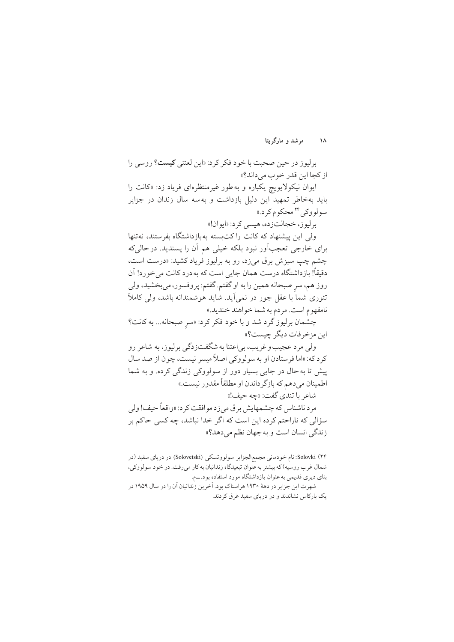برليوز در حين صحبت با خود فكر كرد: «اين لعنتي ك**يست؟** روسي را از کجا این قدر خوب مے داند؟»

ایوان نیکولایویچ یکباره و به طور غیرمنتظرهای فریاد زد: «کانت را باید بهخاطر تمهید این دلیل بازداشت و بهسه سال زندان در جزایر سولووکی ۲۴ محکوم کرد.»

بر ليو ز، خجالتزده، هيسي كرد: «ايو ان!»

ولی این پیشنهاد که کانت را کتبسته بهبازداشتگاه بفرستند، نهتنها برای خارجی تعجبآور نبود بلکه خیلی هم آن را پسندید. در حالی که چشم چپ سبزش برق میزد، رو به برلیوز فریاد کشید: «درست است، دقیقاً! بازداشتگاه درست همان جایی است که به درد کانت می خورد! آن روز هم، سر صبحانه همین را به او گفتم. گفتم: پروفسور، می بخشید، ولی تئوري شما با عقل جور در نمي اَيد. شايد هوشمندانه باشد، ولي كاملاً نامفهوم است. مردم به شما خواهند خنديد.»

چشمان برلیوز گرد شد و با خود فکر کرد: «سر صبحانه... به کانت؟ اين مزخر فات ديگر چيست؟»

ولي مرد عجيب وغريب، بي اعتنا به شگفتزدگي برليوز، به شاعر رو کر د که: «اما فر ستادن او به سو لو وکي اصلاً ميسر نيست، چون از صد سال پیش تا به حال در جایی بسیار دور از سولووکی زندگی کرده. و به شما اطمينان مي دهم كه بازگر داندن او مطلقاً مقدور نيست.»

شاعر با تندي گفت: «چه حيف!»

مرد ناشناس که چشمهایش برق می زد موافقت کرد: «واقعاً حیف! ولی سؤالی که ناراحتم کرده این است که اگر خدا نباشد، چه کسی حاکم بر زندگي انسان است و به جهان نظم مي دهد؟»

۲۴) Solovki: نام خودمانی مجمع|لجزایر سولووتسکی (Solovetski) در دریای سفید (در شمال غرب روسیه) که بیشتر به عنوان تبعیدگاه زندانیان به کار میرفت. در خود سولووکی، بنای دیری قدیمی به عنوان بازداشتگاه مورد استفاده بود. ـم. شهرت این جزایر در دههٔ ۱۹۳۰ هراسناک بود. آخرین زندانیان آن را در سال ۱۹۵۹ در یک بارکاس نشاندند و در دریای سفید غرق کردند.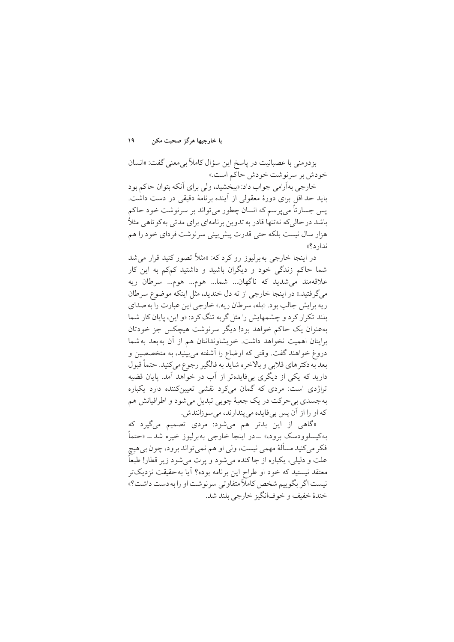$\mathcal{A}$ با خارجيها هرگز صحبت مكن

بزدومني با عصبانيت در پاسخ اين سؤال كاملاً بي معنى گفت: «انسان خودش بر سرنوشت خودش حاكم است.»

خارجي بهآرامي جواب داد: «ببخشيد، ولي براي أنكه بتوان حاكم بود باید حد اقل برای دورهٔ معقولی از آینده برنامهٔ دقیقی در دست داشت. يس جسارتاً مي پرسم كه انسان چطور مي تواند بر سرنوشت خود حاكم باشد در حالی که نه تنها قادر به تدوین بر نامهای برای مدتی به کو تاهی مثلاً هزار سال نیست بلکه حتی قدرت پیشبینی سرنوشت فردای خود را هم ندار د؟»

در اینجا خارجی په برلیوز رو کرد که: «مثلاً تصور کنید قرار می شد شما حاکم زندگی خود و دیگران باشید و داشتید کمکم به این کار علاقەمند مى شديد كە ناگھان... شما... هوم... هوم... سرطان ريە م گر فتید.» در اینجا خارجی از ته دل خندید، مثل اینکه موضوع سرطان ریه برایش جالب بود. «بله، سرطان ریه.» خارجی این عبارت را به صدای بلند تکرار کرد و چشمهایش را مثل گربه تنگ کرد: «و این، پایان کار شما بهعنوان یک حاکم خواهد بود! دیگر سرنوشت هیچکس جز خودتان برايتان اهميت نخواهد داشت. خويشاوندانتان هم از آن بهبعد به شما دروغ خواهند گفت. وقتی که اوضاع را آشفته می بینید، به متخصصین و بعد به دکتر های قلابی و بالاخره شاید به فالگیر رجوع میکنید. حتماً قبول دارید که یکی از دیگری بیفایدهتر از آب در خواهد آمد. پایان قضیه تراژدی است: مردی که گمان میکرد نقشی تعیینکننده دارد یکباره به جسدي بي حرکت در يک جعبهٔ چوبي تبديل مي شود و اطرافيانش هم که او را از آن پس بے فایده می پندارند، می سو زانندش.

«گاهی از این بدتر هم می شود: مردی تصمیم میگیرد که بهکیسلوودسک برود» ــدر اینجا خارجی بهبرلیوز خیره شد\_ «حتماً فکر میکنید مسألهٔ مهمی نیست، ولی او هم نمیتواند برود، چون بی هیچ علت و دليلي، يكباره از جاكنده مي شود و يرت مي شود زير قطار! طبعاً معتقد نیستید که خود او طراح این برنامه بوده؟ آیا به حقیقت نزدیکتر نيست اگر بگوييم شخص كاملاً متفاوتي سرنوشت او را به دست داشت؟» خندهٔ خفیف و خوفانگیز خارجی بلند شد.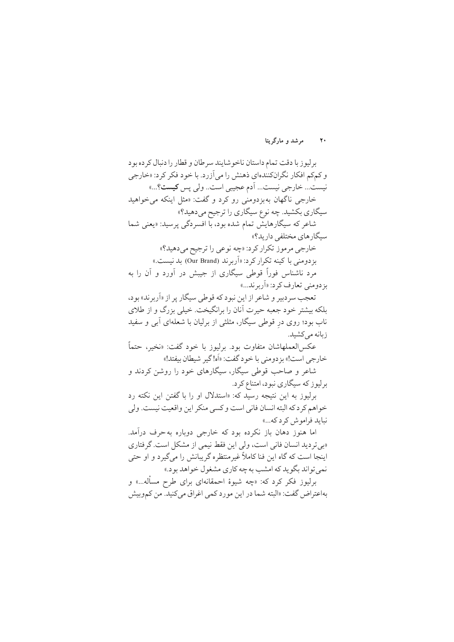**20 »o{k °« nB£o½BT**

بر ليو زيا دقت تمام داستان ناخو شايند سرطان و قطار را دنبال كر ده بو د و کمکم افکار نگرانکنندهای ذهنش را می آزرد. با خود فکر کرد: «خارجی نيست... خارجي نيست... اَدم عجيبي است.. ولي يس **كيست**؟...» خارجي ناگهان به بز دومني رو كړد و گفت: «مثل اينكه مي خواهيد سیگاري بکشيد. چه نوع سيگاري را ترجيح مي دهيد؟» شاعر كه سيگارهايش تمام شده بود، با افسردگي پرسيد: «يعني شما سیگارهای مختلفی دارید؟» خارجي مر مو ز تكرار كرد: «چه نوعي را ترجيح مي دهيد؟» بز دومنی با کینه تکرار کرد: «اَربر ند (Our Brand) بد نیست.» مرد ناشناس فوراً قوطی سیگاری از جیبش در آورد و آن را به بز دومني تعارف كرد: «اَربر ند...»

تعجب سردبیر و شاعر از این نبود که قوطی سیگار یر از «اَربر ند» بود، بلکه بیشتر خود جعبه حیرت آنان را برانگیخت. خیلم بزرگ و از طلای ناب بود؛ روی درِ قوطی سیگار، مثلثی از برلیان با شعلهای ابی و سفید ß ز بانه مے کشید.

عكسالعملهاشان متفاوت بود. برليوز با خود گفت: «نخير، حتماً خارجي است!» بزدومني با خود گفت: «أه! گير شيطان بيفتد!»

شاعر و صاحب قوطی سیگار، سیگارهای خود را روشن کردند و بر ليو ز كه سيگاري نبود، امتناع كرد.

برليوز به اين نتيجه رسيد كه: «استدلال او را با گفتن اين نكته رد خواهم كردكه البته انسان فاني است وكسى منكر اين واقعيت نيست. ولي نبايد فراموش كرد كه...»

اما هنوز دهان باز نكرده بود كه خارجي دوباره به حرف درآمد. «بی تردید انسان فانی است، ولی این فقط نیمی از مشکل است. گرفتاری اینجا است که گاه این فنا کاملاً غیرمنتظره گریبانش را میگیرد و او حتبی نمي تواند بگويد كه امشب به چه كاري مشغول خواهد بود.»

برليوز فكر كرد كه: «چه شيوهٔ احمقانهاي براي طرح مسأله...» و بهاعتراض گفت: «البته شما در این مورد کمی اغراق می کنید. من کموبیش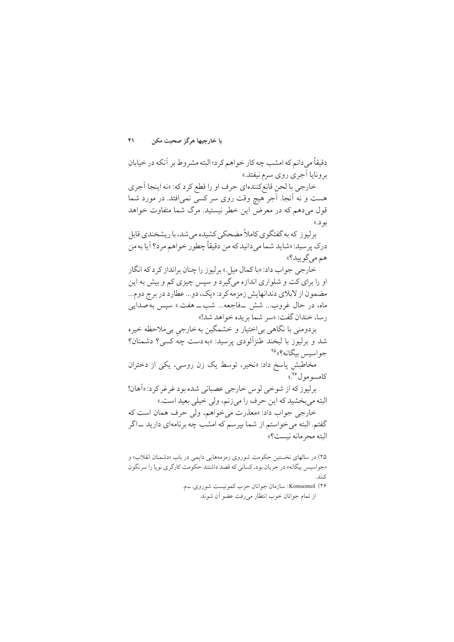با خارجيها هرگز صحبت مكن  $\overline{Y}$ 

دقيقاً مي دانم كه امشب چه كار خواهم كرد؛ البته مشر وط بر آنكه در خيابان برونایا آجری روی سرم نیفتد.»

خارجي با لحن قانع كنندهاي حرف او را قطع كرد كه: «نه اينجا أجرى هست و نه آنجا. آجر هیچ وقت روی سر کسی نمی!فتد. در مورد شما قول میدهم که در معرض این خطر نیستید. مرگ شما متفاوت خواهد بو د.))

برلیوز که به گفتگوی کاملاً مضحکی کشیده می شد، با ریشخندی قابل درک ير سيد: «شايد شما ميدانيد که من دقيقاً چطور خواهم مرد؟ آيا به من هم مے گو پید؟»

خارجي جواب داد: «با کمال ميل.» بر ليو ز را چنان برانداز کر د که انگار او را برای کت و شلواری اندازه میگیرد و سپس چیزی کم و بیش به این مضمون از لابلای دندانهایش زمزمه کرد: «یک، دو... عطارد در برج دوم... ماه، در حال غروب... شش \_فاجعه... شب\_ هفت.» سپس به صدایبی رسا، خندان گفت: «سر شما بريده خواهد شد!»

بزدومني با نگاهي بي|ختيار و خشمگين بهخارجي بي.الاحظه خيره شد و برليوز با لبخند طنزآلودي پرسيد: «به دست چه كسي؟ دشمنان؟ جواسس بيگانه؟» ٢٥

مخاطبش پاسخ داد: «نخیر، توسط یک زن روسی، یکی از دختران كامسو مول<sup>46</sup>.»

برليوز كه از شوخي لوس خارجي عصباني شده بود غرغر كرد: «اَهان! البته مي بخشيد كه اين حرف را مي زنم، ولي خيلي بعيد است.»

خارجي جواب داد: «معذرت مي خواهم، ولي حرف همان است كه گفتم. البته می خواستم از شما بیر سم که امشب چه بر نامهای دارید ـــاگر البته محر مانه نيست؟»

۲۵) در سالهای نخستین حکومت شوروی زمزمههایی دایمی در باب «دشمنان انقلاب» و «جواسيس بيگانه» در جريان بود، كساني كه قصد داشتند حكومت كارگري نويا را سرنگون  $1:5$ 

> ۲۶) Komsomol: سازمان جوانان حزب كمونيست شوروي. ـم. از تمام جوانان خوب انتظار مىرفت عضو آن شوند.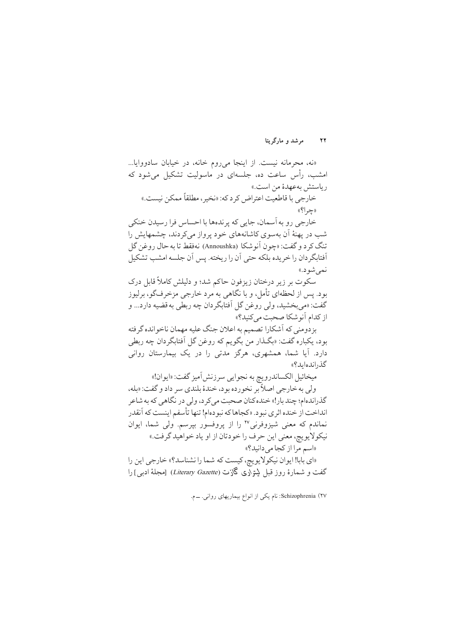«نه، محرمانه نیست. از اینجا می روم خانه، در خیابان سادووایا... امشب، رأس ساعت ده، جلسهای در ماسولیت تشکیل میشود که رياستش به عهدهٔ من است.» خارجي با قاطعيت اعتراض كر د كه: «نخير ، مطلقاً ممكن نيست.» ((چم ا؟))

خارجي رو به آسمان، جايي كه يرندهها با احساس فرا رسيدن خنكي شب در یهنهٔ آن بهسوی کاشانههای خود پرواز می کردند، چشمهایش را تنگ کر د و گفت: «چون آنوشکا (Annoushka) نهفقط تا به حال روغن گل أفتابگه دان را خر یده بلکه حتی آن را ریخته. پس آن جلسه امشب تشکیل نمي شو د.»

سکوت بر زیر درختان زیزفون حاکم شد؛ و دلیلش کاملاً قابل درک بود. پس از لحظهای تأمل، و با نگاهی به مرد خارجی مزخرفگو، برلیوز گفت: «مي بخشيد، ولي روغن گل آفتابگردان چه ربطي به قضيه دارد... و از کدام آنو شکا صحبت مے کنید؟»

بزدومني كه آشكارا تصميم به اعلان جنگ عليه مهمان ناخوانده گرفته بود، يكباره گفت: «بگـذار من بگويم كه روغن گل آفتابگردان چه ربطي دارد. آیا شما، همشهری، هرگز مدتی را در یک بیمارستان روانی گذراندهاید؟»

ميخائيل الكساندرويچ به نجوايي سرزنش آميز گفت: «ايوان!» ولي به خارجي اصلاً بر نخورده بود، خندهٔ بلندي سر داد و گفت: «بله،

گذراندهام؛ چند بار!» خنده کنان صحبت مي کر د، ولي در نگاهي که به شاعر انداخت از خنده اثر ی نبو د. «کجاها که نبو دهام! تنها تأسفم اینست که آنقدر نماندم که معنی شیزوفرنی<sup>۲۷</sup> را از پروفسور بپرسم. ولی شما، ایوان نيكولايويچ، معنى اين حرف را خودتان از او ياد خواهيد گرفت.» «اسم مرا از كجا مىدانيد؟»

«اي بابا! ايوان نيكولايويچ، كيست كه شما را نشناسد؟» خارجي اين را گفت و شمارهٔ روز قبل لیتراری گازت (Literary Gazette) [مجلهٔ ادبے ] را

Schizophrenia (۲۷: نام یکی از انواع بیماریهای روانی. ـــ م.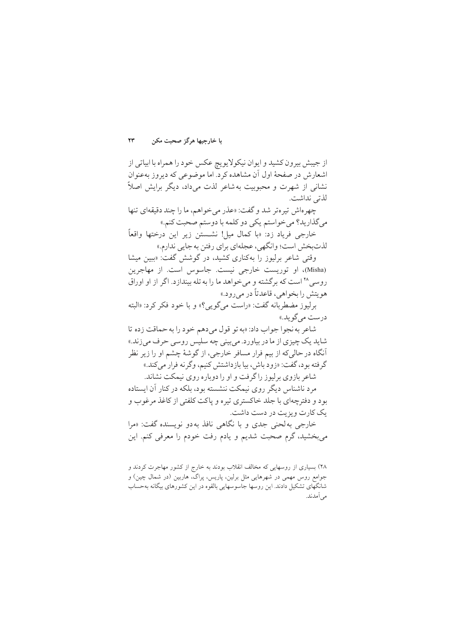با خارجيها هرگز صحبت مكن ۲۳

از جيبش بيرون كشيد و ايوان نيكولايويچ عكس خود را همراه با ابياتي از اشعارش در صفحهٔ اول آن مشاهده کرد. اما موضوعی که دیروز بهعنوان نشانی از شهرت و محبوبیت به شاعر لذت می داد، دیگر برایش اصلاً لذتي نداشت.

چهرهاش تیره تر شد و گفت: «عذر می خواهم، ما را چند دقیقهای تنها مي گذاريد؟ مي خواستم يكي دو كلمه با دوستم صحبت كنم.»

خارجي فرياد زد: «با كمال ميل! نشستن زير اين درختها واقعاً لذتبخش است؛ وانگهي، عجلهاي براي رفتن به جايي ندارم.»

وقتی شاعر برلیوز را بهکناری کشید، در گوشش گفت: «بین میشا (Misha)، او توریست خارجی نیست. جاسوس است. از مهاجرین روسی ۲۸ است که برگشته و می خواهد ما را به تله بیندازد. اگر از او اوراق هو پتش را بخواهی، قاعدتاً در می رود.»

برليوز مضطربانه گفت: «راست مي گويي؟» و با خود فكر كرد: «البته درست مے گو ید.»

شاعر به نجوا جواب داد: «به تو قول مي دهم خود را به حماقت زده تا شاید یک چیزی از ما در بیاورد. می بینی چه سلیس روسی حرف میزند.» آنگاه در حالی که از بیم فرار مسافر خارجی، از گوشهٔ چشم او را زیر نظر گر فته بو د، گفت: «زود باش، بيا بازداشتش كنيم، وگر نه فرار مي كند.»

شاعر بازوی برلبوز را گرفت و او را دوباره روی نیمکت نشاند.

مرد ناشناس دیگر روی نیمکت ننشسته بود، بلکه در کنار آن ایستاده بود و دفترچهای با جلد خاکستری تیره و پاکت کلفتی از کاغذ مرغوب و یک کارت و یز پت در دست داشت.

خارجي به لحني جدي و با نگاهي نافذ به دو نويسنده گفت: «مرا میبخشید، گرم صحبت شدیم و یادم رفت خودم را معرفی کنم. این

۲۸) بسیاری از روسهایی که مخالف انقلاب بودند به خارج از کشور مهاجرت کردند و جوامع روس مهمی در شهرهایی مثل برلین، پاریس، پراگ، هاربین (در شمال چین) و شانگهای تشکیل دادند. این روسها جاسوسهایی بالقوه در این کشورهای بیگانه بهحساب مے آمدند.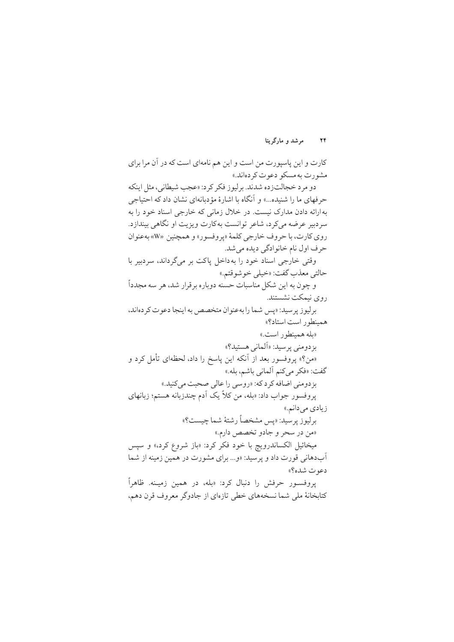کارت و این پاسپورت من است و این هم نامهای است که در آن مرا برای مشورت په مسکو دعوت کردهاند.»

دو مرد خجالتزده شدند. برليوز فكر كرد: «عجب شيطاني، مثل اينكه حرفهای ما را شنیده...» و آنگاه با اشارهٔ مؤدبانهای نشان داد که احتیاجی به ارائه دادن مدارک نیست. در خلال زمانی که خارجی اسناد خود را به سردبیر عرضه میکرد، شاعر توانست بهکارت ویزیت او نگاهی بیندازد. روي كارت، با حروف خارجي كلمهٔ «پروفسور» و همچنين «W» بهعنوان حرف اول نام خانوادگی دیده می شد.

وقتی خارجی اسناد خود را به داخل پاکت بر میگرداند، سردبیر با حالتي معذب گفت: «خيلي خو شو قتم.»

و چون به این شکل مناسبات حسنه دوباره برقرار شد، هر سه مجدداً روی نیمکت نشستند.

برليو زير سيد: «پس شما را به عنوان متخصص به اينجا دعوت كر دهاند، همينطور است استاد؟»

«بله همينطور است.»

بز دومني پر سيد: «اَلماني هستيد؟» «من؟» یروفسور بعد از آنکه این یاسخ را داد، لحظهای تأمل کرد و

گفت: «فكر مي كنم ألماني باشم، بله.»

بزدومني اضافه كرد كه: «روسي را عالى صحبت مي كنيد.» يروفسور جواب داد: «بله، من كلاً يك أدم چندزبانه هستم؛ زبانهاي

زیادی می دانم.»

برليوز پرسيد: «پس مشخصاً رشتهٔ شما چيست؟» «من در سحر و جادو تخصص دارم.»

میخائیل الکساندرویچ با خود فکر کرد: «باز شروع کرد،» و سیس آبدهانی قورت داد و پرسید: «و... برای مشورت در همین زمینه از شما دعوت شده؟»

یروفسور حرفش را دنبال کرد: «بله، در همین زمینه. ظاهراً کتابخانهٔ ملی شما نسخههای خطی تازهای از جادوگر معروف قرن دهم،